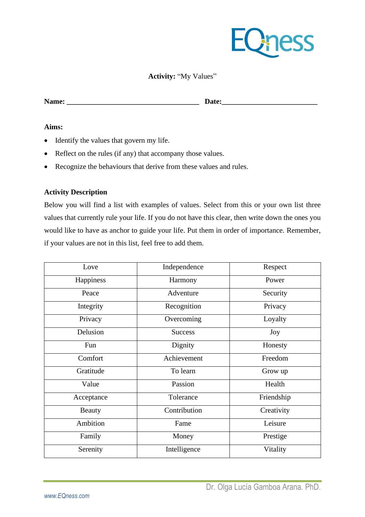

# **Activity:** "My Values"

**Name: \_\_\_\_\_\_\_\_\_\_\_\_\_\_\_\_\_\_\_\_\_\_\_\_\_\_\_\_\_\_\_\_\_\_\_\_ Date:\_\_\_\_\_\_\_\_\_\_\_\_\_\_\_\_\_\_\_\_\_\_\_\_\_\_**

#### **Aims:**

- Identify the values that govern my life.
- Reflect on the rules (if any) that accompany those values.
- Recognize the behaviours that derive from these values and rules.

# **Activity Description**

Below you will find a list with examples of values. Select from this or your own list three values that currently rule your life. If you do not have this clear, then write down the ones you would like to have as anchor to guide your life. Put them in order of importance. Remember, if your values are not in this list, feel free to add them.

| Love          | Independence   | Respect    |
|---------------|----------------|------------|
| Happiness     | Harmony        | Power      |
| Peace         | Adventure      | Security   |
| Integrity     | Recognition    | Privacy    |
| Privacy       | Overcoming     | Loyalty    |
| Delusion      | <b>Success</b> | Joy        |
| Fun           | Dignity        | Honesty    |
| Comfort       | Achievement    | Freedom    |
| Gratitude     | To learn       | Grow up    |
| Value         | Passion        | Health     |
| Acceptance    | Tolerance      | Friendship |
| <b>Beauty</b> | Contribution   | Creativity |
| Ambition      | Fame           | Leisure    |
| Family        | Money          | Prestige   |
| Serenity      | Intelligence   | Vitality   |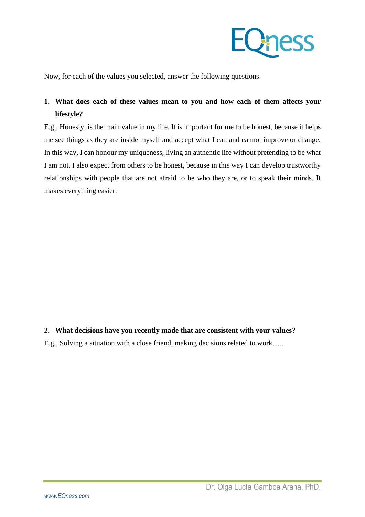

Now, for each of the values you selected, answer the following questions.

# **1. What does each of these values mean to you and how each of them affects your lifestyle?**

E.g., Honesty, is the main value in my life. It is important for me to be honest, because it helps me see things as they are inside myself and accept what I can and cannot improve or change. In this way, I can honour my uniqueness, living an authentic life without pretending to be what I am not. I also expect from others to be honest, because in this way I can develop trustworthy relationships with people that are not afraid to be who they are, or to speak their minds. It makes everything easier.

**2. What decisions have you recently made that are consistent with your values?** E.g., Solving a situation with a close friend, making decisions related to work…..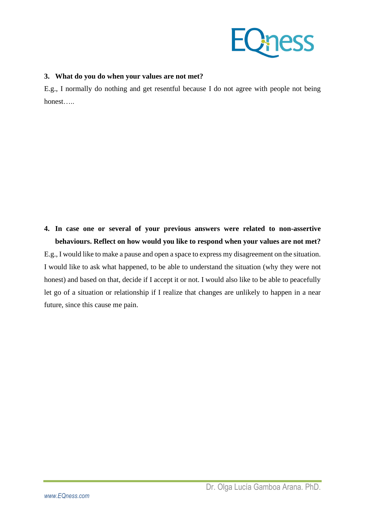

# **3. What do you do when your values are not met?**

E.g., I normally do nothing and get resentful because I do not agree with people not being honest…..

**4. In case one or several of your previous answers were related to non-assertive behaviours. Reflect on how would you like to respond when your values are not met?** E.g., I would like to make a pause and open a space to express my disagreement on the situation. I would like to ask what happened, to be able to understand the situation (why they were not honest) and based on that, decide if I accept it or not. I would also like to be able to peacefully let go of a situation or relationship if I realize that changes are unlikely to happen in a near future, since this cause me pain.